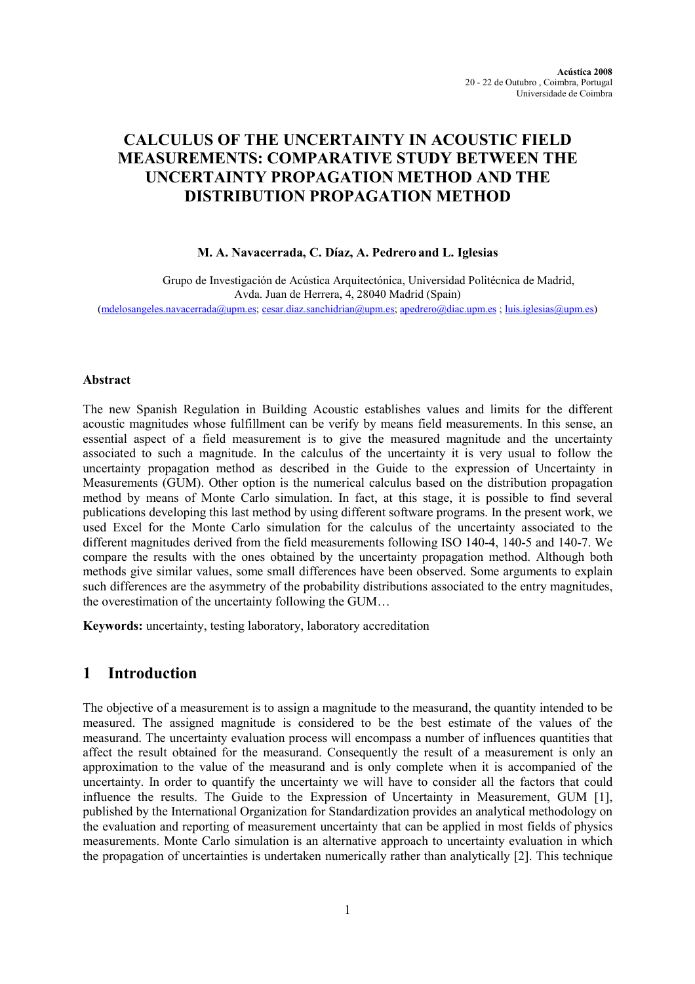# CALCULUS OF THE UNCERTAINTY IN ACOUSTIC FIELD MEASUREMENTS: COMPARATIVE STUDY BETWEEN THE UNCERTAINTY PROPAGATION METHOD AND THE DISTRIBUTION PROPAGATION METHOD

## M. A. Navacerrada, C. Díaz, A. Pedrero and L. Iglesias

Grupo de Investigación de Acústica Arquitectónica, Universidad Politécnica de Madrid, Avda. Juan de Herrera, 4, 28040 Madrid (Spain) (mdelosangeles.navacerrada@upm.es; cesar.diaz.sanchidrian@upm.es; apedrero@diac.upm.es ; luis.iglesias@upm.es)

## Abstract

The new Spanish Regulation in Building Acoustic establishes values and limits for the different acoustic magnitudes whose fulfillment can be verify by means field measurements. In this sense, an essential aspect of a field measurement is to give the measured magnitude and the uncertainty associated to such a magnitude. In the calculus of the uncertainty it is very usual to follow the uncertainty propagation method as described in the Guide to the expression of Uncertainty in Measurements (GUM). Other option is the numerical calculus based on the distribution propagation method by means of Monte Carlo simulation. In fact, at this stage, it is possible to find several publications developing this last method by using different software programs. In the present work, we used Excel for the Monte Carlo simulation for the calculus of the uncertainty associated to the different magnitudes derived from the field measurements following ISO 140-4, 140-5 and 140-7. We compare the results with the ones obtained by the uncertainty propagation method. Although both methods give similar values, some small differences have been observed. Some arguments to explain such differences are the asymmetry of the probability distributions associated to the entry magnitudes, the overestimation of the uncertainty following the GUM…

Keywords: uncertainty, testing laboratory, laboratory accreditation

## 1 Introduction

The objective of a measurement is to assign a magnitude to the measurand, the quantity intended to be measured. The assigned magnitude is considered to be the best estimate of the values of the measurand. The uncertainty evaluation process will encompass a number of influences quantities that affect the result obtained for the measurand. Consequently the result of a measurement is only an approximation to the value of the measurand and is only complete when it is accompanied of the uncertainty. In order to quantify the uncertainty we will have to consider all the factors that could influence the results. The Guide to the Expression of Uncertainty in Measurement, GUM [1], published by the International Organization for Standardization provides an analytical methodology on the evaluation and reporting of measurement uncertainty that can be applied in most fields of physics measurements. Monte Carlo simulation is an alternative approach to uncertainty evaluation in which the propagation of uncertainties is undertaken numerically rather than analytically [2]. This technique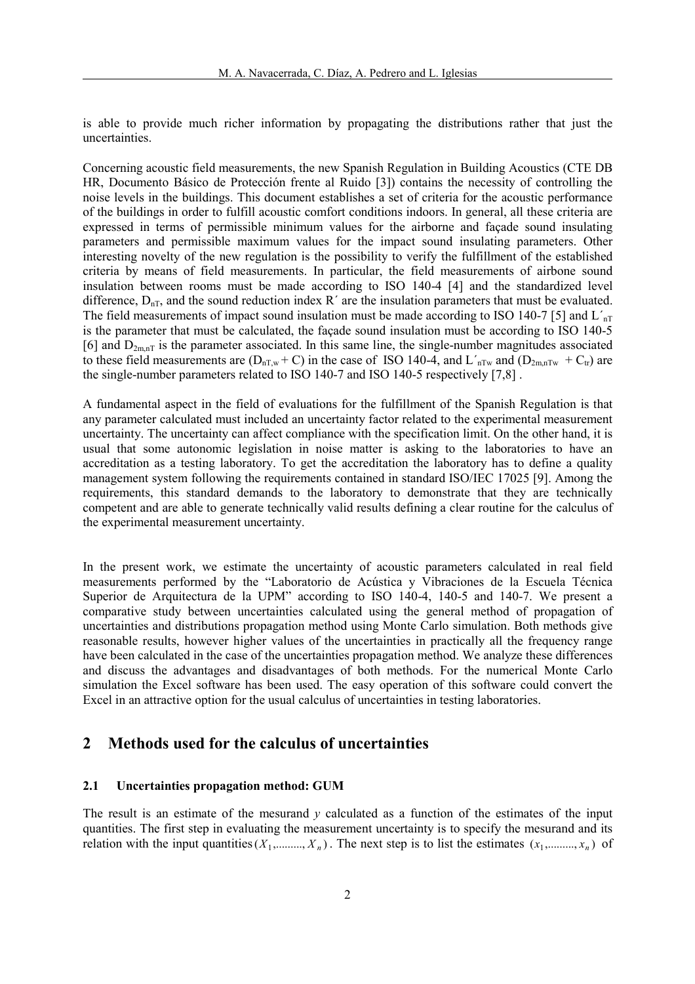is able to provide much richer information by propagating the distributions rather that just the uncertainties.

Concerning acoustic field measurements, the new Spanish Regulation in Building Acoustics (CTE DB HR, Documento Básico de Protección frente al Ruido [3]) contains the necessity of controlling the noise levels in the buildings. This document establishes a set of criteria for the acoustic performance of the buildings in order to fulfill acoustic comfort conditions indoors. In general, all these criteria are expressed in terms of permissible minimum values for the airborne and façade sound insulating parameters and permissible maximum values for the impact sound insulating parameters. Other interesting novelty of the new regulation is the possibility to verify the fulfillment of the established criteria by means of field measurements. In particular, the field measurements of airbone sound insulation between rooms must be made according to ISO 140-4 [4] and the standardized level difference,  $D_{nT}$ , and the sound reduction index R<sup> $\prime$ </sup> are the insulation parameters that must be evaluated. The field measurements of impact sound insulation must be made according to ISO 140-7 [5] and  $L_{nT}$ is the parameter that must be calculated, the façade sound insulation must be according to ISO 140-5 [6] and  $D_{2m,nT}$  is the parameter associated. In this same line, the single-number magnitudes associated to these field measurements are  $(D_{nT,w} + C)$  in the case of ISO 140-4, and L'<sub>nTw</sub> and  $(D_{2m,nTw} + C_{tr})$  are the single-number parameters related to ISO 140-7 and ISO 140-5 respectively [7,8] .

A fundamental aspect in the field of evaluations for the fulfillment of the Spanish Regulation is that any parameter calculated must included an uncertainty factor related to the experimental measurement uncertainty. The uncertainty can affect compliance with the specification limit. On the other hand, it is usual that some autonomic legislation in noise matter is asking to the laboratories to have an accreditation as a testing laboratory. To get the accreditation the laboratory has to define a quality management system following the requirements contained in standard ISO/IEC 17025 [9]. Among the requirements, this standard demands to the laboratory to demonstrate that they are technically competent and are able to generate technically valid results defining a clear routine for the calculus of the experimental measurement uncertainty.

In the present work, we estimate the uncertainty of acoustic parameters calculated in real field measurements performed by the "Laboratorio de Acústica y Vibraciones de la Escuela Técnica Superior de Arquitectura de la UPM" according to ISO 140-4, 140-5 and 140-7. We present a comparative study between uncertainties calculated using the general method of propagation of uncertainties and distributions propagation method using Monte Carlo simulation. Both methods give reasonable results, however higher values of the uncertainties in practically all the frequency range have been calculated in the case of the uncertainties propagation method. We analyze these differences and discuss the advantages and disadvantages of both methods. For the numerical Monte Carlo simulation the Excel software has been used. The easy operation of this software could convert the Excel in an attractive option for the usual calculus of uncertainties in testing laboratories.

## 2 Methods used for the calculus of uncertainties

## 2.1 Uncertainties propagation method: GUM

The result is an estimate of the mesurand  $\nu$  calculated as a function of the estimates of the input quantities. The first step in evaluating the measurement uncertainty is to specify the mesurand and its relation with the input quantities  $(X_1, \ldots, X_n)$ . The next step is to list the estimates  $(x_1, \ldots, x_n)$  of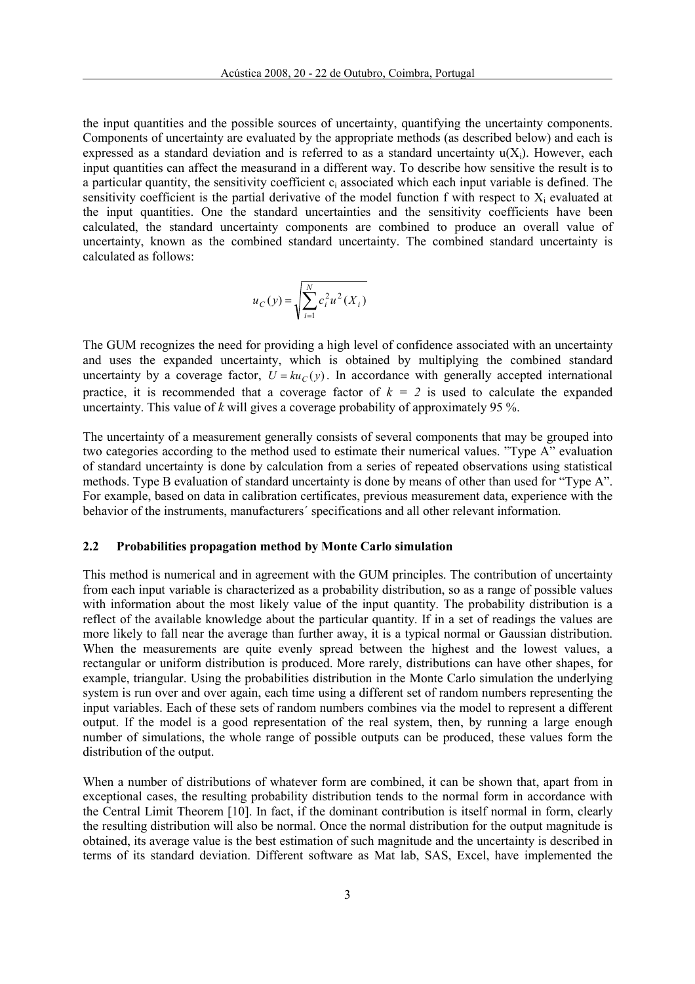the input quantities and the possible sources of uncertainty, quantifying the uncertainty components. Components of uncertainty are evaluated by the appropriate methods (as described below) and each is expressed as a standard deviation and is referred to as a standard uncertainty  $u(X_i)$ . However, each input quantities can affect the measurand in a different way. To describe how sensitive the result is to a particular quantity, the sensitivity coefficient  $c_i$  associated which each input variable is defined. The sensitivity coefficient is the partial derivative of the model function f with respect to  $X_i$  evaluated at the input quantities. One the standard uncertainties and the sensitivity coefficients have been calculated, the standard uncertainty components are combined to produce an overall value of uncertainty, known as the combined standard uncertainty. The combined standard uncertainty is calculated as follows:

$$
u_C(y) = \sqrt{\sum_{i=1}^{N} c_i^2 u^2(X_i)}
$$

The GUM recognizes the need for providing a high level of confidence associated with an uncertainty and uses the expanded uncertainty, which is obtained by multiplying the combined standard uncertainty by a coverage factor,  $U = ku_C(y)$ . In accordance with generally accepted international practice, it is recommended that a coverage factor of  $k = 2$  is used to calculate the expanded uncertainty. This value of  $k$  will gives a coverage probability of approximately 95 %.

The uncertainty of a measurement generally consists of several components that may be grouped into two categories according to the method used to estimate their numerical values. "Type A" evaluation of standard uncertainty is done by calculation from a series of repeated observations using statistical methods. Type B evaluation of standard uncertainty is done by means of other than used for "Type A". For example, based on data in calibration certificates, previous measurement data, experience with the behavior of the instruments, manufacturers´ specifications and all other relevant information.

### 2.2 Probabilities propagation method by Monte Carlo simulation

This method is numerical and in agreement with the GUM principles. The contribution of uncertainty from each input variable is characterized as a probability distribution, so as a range of possible values with information about the most likely value of the input quantity. The probability distribution is a reflect of the available knowledge about the particular quantity. If in a set of readings the values are more likely to fall near the average than further away, it is a typical normal or Gaussian distribution. When the measurements are quite evenly spread between the highest and the lowest values, a rectangular or uniform distribution is produced. More rarely, distributions can have other shapes, for example, triangular. Using the probabilities distribution in the Monte Carlo simulation the underlying system is run over and over again, each time using a different set of random numbers representing the input variables. Each of these sets of random numbers combines via the model to represent a different output. If the model is a good representation of the real system, then, by running a large enough number of simulations, the whole range of possible outputs can be produced, these values form the distribution of the output.

When a number of distributions of whatever form are combined, it can be shown that, apart from in exceptional cases, the resulting probability distribution tends to the normal form in accordance with the Central Limit Theorem [10]. In fact, if the dominant contribution is itself normal in form, clearly the resulting distribution will also be normal. Once the normal distribution for the output magnitude is obtained, its average value is the best estimation of such magnitude and the uncertainty is described in terms of its standard deviation. Different software as Mat lab, SAS, Excel, have implemented the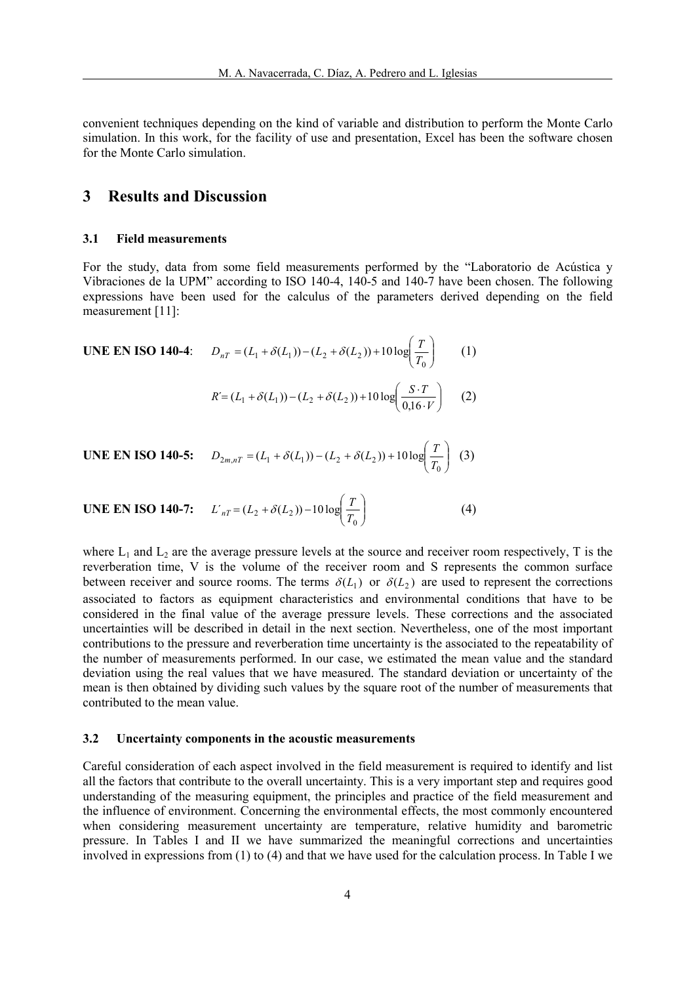convenient techniques depending on the kind of variable and distribution to perform the Monte Carlo simulation. In this work, for the facility of use and presentation, Excel has been the software chosen for the Monte Carlo simulation.

## 3 Results and Discussion

#### 3.1 Field measurements

For the study, data from some field measurements performed by the "Laboratorio de Acústica y Vibraciones de la UPM" according to ISO 140-4, 140-5 and 140-7 have been chosen. The following expressions have been used for the calculus of the parameters derived depending on the field measurement [11]:

**UNE EN ISO 140-4:**  $D_{nT} = (L_1 + \delta(L_1)) - (L_2 + \delta(L_2)) + 10 \log \frac{1}{T}$ J  $\backslash$  $\mathbf{I}$ l  $=(L_1 + \delta(L_1)) - (L_2 + \delta(L_2)) + 10 \log$  $(L_1 + \delta(L_1)) - (L_2 + \delta(L_2)) + 10 \log \frac{1}{T_0}$  $D_{nT} = (L_1 + \delta(L_1)) - (L_2 + \delta(L_2)) + 10 \log \left( \frac{T}{T} \right)$  (1)

$$
R' = (L_1 + \delta(L_1)) - (L_2 + \delta(L_2)) + 10 \log \left( \frac{S \cdot T}{0.16 \cdot V} \right) \tag{2}
$$

**UNE EN ISO 140-5:** 
$$
D_{2m,nT} = (L_1 + \delta(L_1)) - (L_2 + \delta(L_2)) + 10 \log \left(\frac{T}{T_0}\right)
$$
 (3)

**UNE EN ISO 140-7:** 
$$
L'_{nT} = (L_2 + \delta(L_2)) - 10 \log(\frac{T}{T_0})
$$
 (4)

where  $L_1$  and  $L_2$  are the average pressure levels at the source and receiver room respectively, T is the reverberation time, V is the volume of the receiver room and S represents the common surface between receiver and source rooms. The terms  $\delta(L_1)$  or  $\delta(L_2)$  are used to represent the corrections associated to factors as equipment characteristics and environmental conditions that have to be considered in the final value of the average pressure levels. These corrections and the associated uncertainties will be described in detail in the next section. Nevertheless, one of the most important contributions to the pressure and reverberation time uncertainty is the associated to the repeatability of the number of measurements performed. In our case, we estimated the mean value and the standard deviation using the real values that we have measured. The standard deviation or uncertainty of the mean is then obtained by dividing such values by the square root of the number of measurements that contributed to the mean value.

### 3.2 Uncertainty components in the acoustic measurements

Careful consideration of each aspect involved in the field measurement is required to identify and list all the factors that contribute to the overall uncertainty. This is a very important step and requires good understanding of the measuring equipment, the principles and practice of the field measurement and the influence of environment. Concerning the environmental effects, the most commonly encountered when considering measurement uncertainty are temperature, relative humidity and barometric pressure. In Tables I and II we have summarized the meaningful corrections and uncertainties involved in expressions from (1) to (4) and that we have used for the calculation process. In Table I we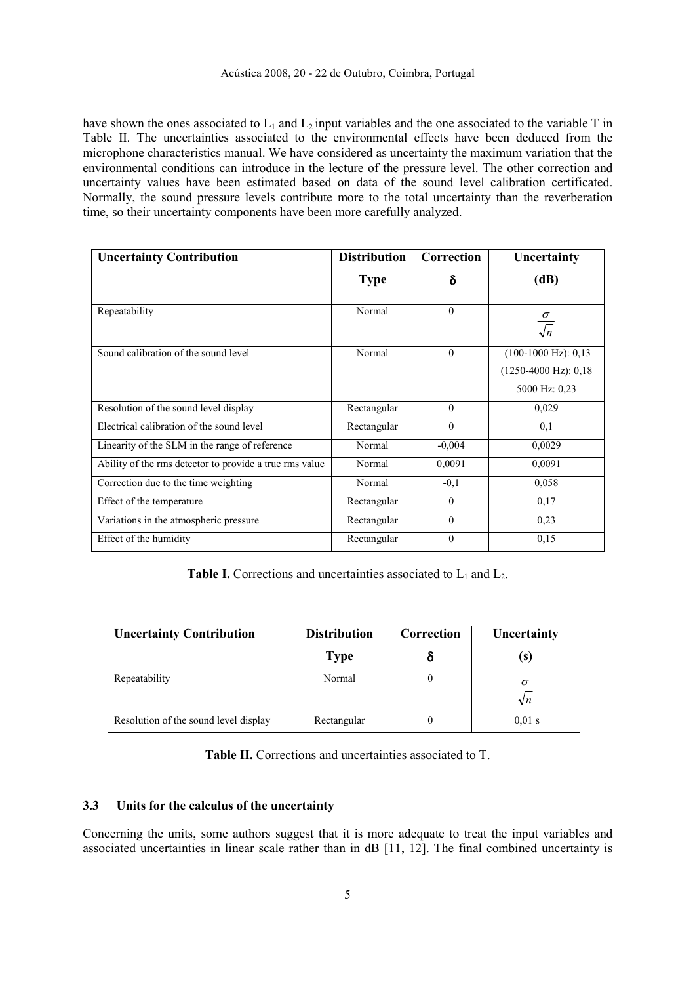have shown the ones associated to  $L_1$  and  $L_2$  input variables and the one associated to the variable T in Table II. The uncertainties associated to the environmental effects have been deduced from the microphone characteristics manual. We have considered as uncertainty the maximum variation that the environmental conditions can introduce in the lecture of the pressure level. The other correction and uncertainty values have been estimated based on data of the sound level calibration certificated. Normally, the sound pressure levels contribute more to the total uncertainty than the reverberation time, so their uncertainty components have been more carefully analyzed.

| <b>Uncertainty Contribution</b>                         | <b>Distribution</b> | Correction   | Uncertainty                                                                        |
|---------------------------------------------------------|---------------------|--------------|------------------------------------------------------------------------------------|
|                                                         | <b>Type</b>         | δ            | (dB)                                                                               |
| Repeatability                                           | Normal              | $\mathbf{0}$ | $\frac{\sigma}{\sqrt{n}}$                                                          |
| Sound calibration of the sound level                    | Normal              | $\theta$     | $(100-1000 \text{ Hz})$ : 0,13<br>$(1250-4000 \text{ Hz})$ : 0,18<br>5000 Hz: 0,23 |
| Resolution of the sound level display                   | Rectangular         | $\theta$     | 0,029                                                                              |
| Electrical calibration of the sound level               | Rectangular         | $\theta$     | 0,1                                                                                |
| Linearity of the SLM in the range of reference          | Normal              | $-0.004$     | 0,0029                                                                             |
| Ability of the rms detector to provide a true rms value | Normal              | 0,0091       | 0,0091                                                                             |
| Correction due to the time weighting                    | Normal              | $-0,1$       | 0,058                                                                              |
| Effect of the temperature                               | Rectangular         | $\theta$     | 0,17                                                                               |
| Variations in the atmospheric pressure                  | Rectangular         | $\theta$     | 0,23                                                                               |
| Effect of the humidity                                  | Rectangular         | $\mathbf{0}$ | 0,15                                                                               |

**Table I.** Corrections and uncertainties associated to  $L_1$  and  $L_2$ .

| <b>Uncertainty Contribution</b>       | <b>Distribution</b> | Correction | Uncertainty            |
|---------------------------------------|---------------------|------------|------------------------|
|                                       | <b>Type</b>         |            | (s)                    |
| Repeatability                         | Normal              |            | $\sigma$<br>$\sqrt{n}$ |
| Resolution of the sound level display | Rectangular         |            | $0.01$ s               |

### 3.3 Units for the calculus of the uncertainty

Concerning the units, some authors suggest that it is more adequate to treat the input variables and associated uncertainties in linear scale rather than in dB [11, 12]. The final combined uncertainty is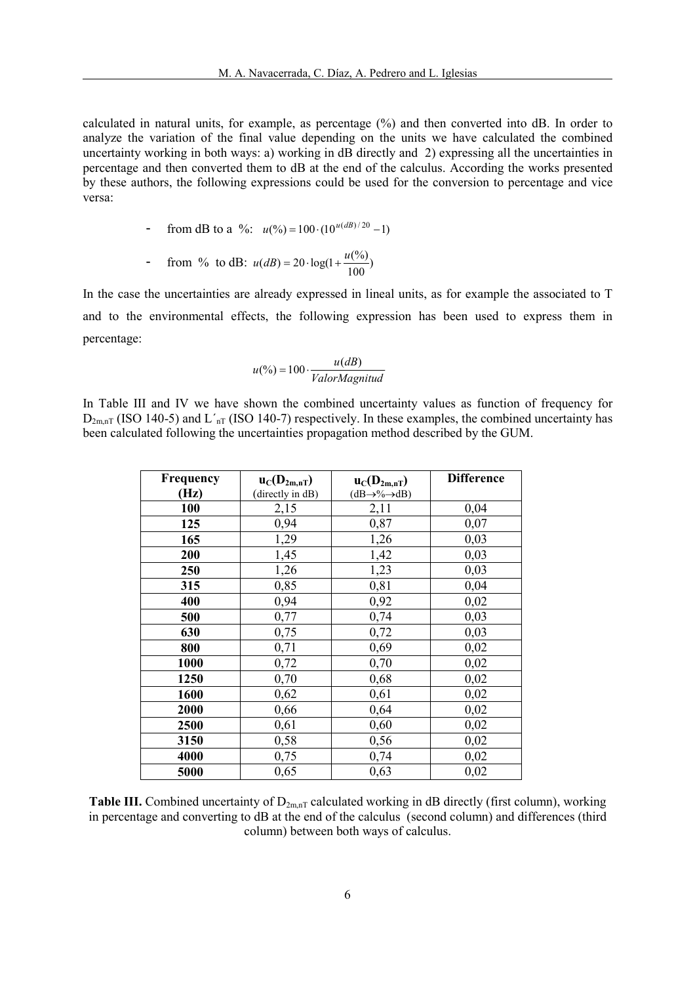calculated in natural units, for example, as percentage (%) and then converted into dB. In order to analyze the variation of the final value depending on the units we have calculated the combined uncertainty working in both ways: a) working in dB directly and 2) expressing all the uncertainties in percentage and then converted them to dB at the end of the calculus. According the works presented by these authors, the following expressions could be used for the conversion to percentage and vice versa:

- from dB to a %: 
$$
u(\%) = 100 \cdot (10^{u(dB)/20} - 1)
$$

From % to dB: 
$$
u(dB) = 20 \cdot log(1 + \frac{u(\%)}{100})
$$

In the case the uncertainties are already expressed in lineal units, as for example the associated to T and to the environmental effects, the following expression has been used to express them in percentage:

$$
u(\%) = 100 \cdot \frac{u(dB)}{ValorMagnitud}
$$

In Table III and IV we have shown the combined uncertainty values as function of frequency for  $D_{2m,nT}$  (ISO 140-5) and  $L'_{nT}$  (ISO 140-7) respectively. In these examples, the combined uncertainty has been calculated following the uncertainties propagation method described by the GUM.

| Frequency | $u_C(D_{2m,nT})$ | $u_C(D_{2m,nT})$                     | <b>Difference</b> |
|-----------|------------------|--------------------------------------|-------------------|
| (Hz)      | (directly in dB) | $(dB \rightarrow \% \rightarrow dB)$ |                   |
| 100       | 2,15             | 2,11                                 | 0,04              |
| 125       | 0,94             | 0,87                                 | 0,07              |
| 165       | 1,29             | 1,26                                 | 0,03              |
| 200       | 1,45             | 1,42                                 | 0,03              |
| 250       | 1,26             | 1,23                                 | 0,03              |
| 315       | 0,85             | 0,81                                 | 0,04              |
| 400       | 0,94             | 0,92                                 | 0,02              |
| 500       | 0,77             | 0,74                                 | 0,03              |
| 630       | 0,75             | 0,72                                 | 0,03              |
| 800       | 0,71             | 0,69                                 | 0,02              |
| 1000      | 0,72             | 0,70                                 | 0,02              |
| 1250      | 0,70             | 0,68                                 | 0,02              |
| 1600      | 0,62             | 0,61                                 | 0,02              |
| 2000      | 0,66             | 0,64                                 | 0,02              |
| 2500      | 0,61             | 0,60                                 | 0,02              |
| 3150      | 0,58             | 0,56                                 | 0,02              |
| 4000      | 0,75             | 0,74                                 | 0,02              |
| 5000      | 0,65             | 0,63                                 | 0,02              |

Table III. Combined uncertainty of  $D_{2m,nT}$  calculated working in dB directly (first column), working in percentage and converting to dB at the end of the calculus (second column) and differences (third column) between both ways of calculus.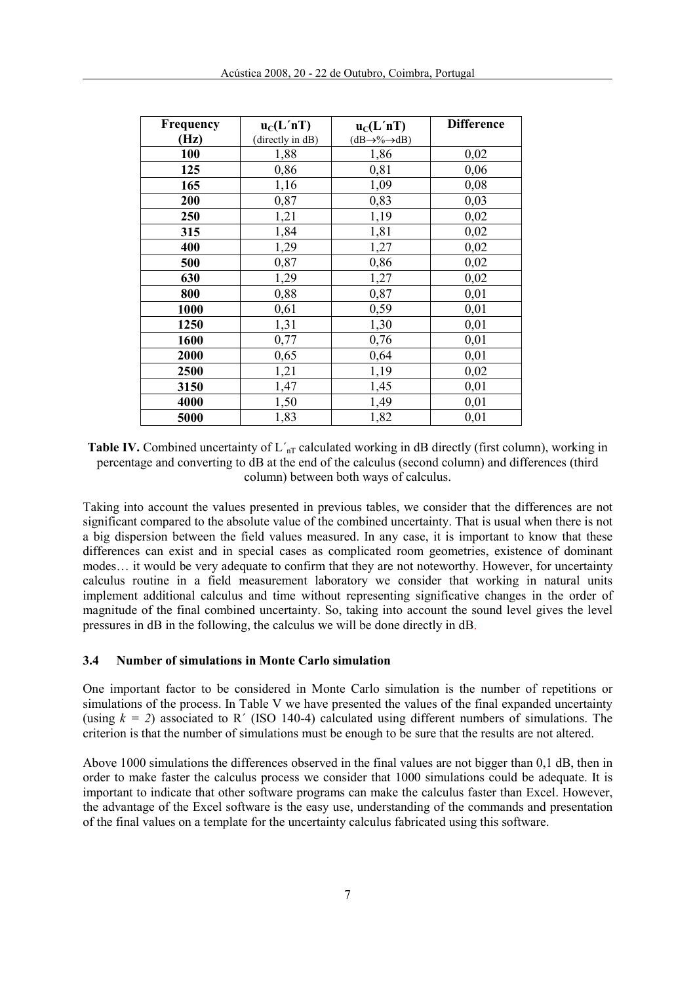| Frequency | $u_C(L'nT)$     | $u_C(L'nT)$                        | <b>Difference</b> |
|-----------|-----------------|------------------------------------|-------------------|
| (Hz)      | directly in dB) | $(dB\rightarrow\% \rightarrow dB)$ |                   |
| 100       | 1,88            | 1,86                               | 0,02              |
| 125       | 0,86            | 0,81                               | 0,06              |
| 165       | 1,16            | 1,09                               | 0,08              |
| 200       | 0,87            | 0,83                               | 0,03              |
| 250       | 1,21            | 1,19                               | 0,02              |
| 315       | 1,84            | 1,81                               | 0,02              |
| 400       | 1,29            | 1,27                               | 0,02              |
| 500       | 0,87            | 0,86                               | 0,02              |
| 630       | 1,29            | 1,27                               | 0,02              |
| 800       | 0,88            | 0,87                               | 0,01              |
| 1000      | 0,61            | 0,59                               | 0,01              |
| 1250      | 1,31            | 1,30                               | 0,01              |
| 1600      | 0,77            | 0,76                               | 0,01              |
| 2000      | 0,65            | 0,64                               | 0,01              |
| 2500      | 1,21            | 1,19                               | 0,02              |
| 3150      | 1,47            | 1,45                               | 0,01              |
| 4000      | 1,50            | 1,49                               | 0,01              |
| 5000      | 1,83            | 1,82                               | 0,01              |

**Table IV.** Combined uncertainty of  $L'_{nT}$  calculated working in dB directly (first column), working in percentage and converting to dB at the end of the calculus (second column) and differences (third column) between both ways of calculus.

Taking into account the values presented in previous tables, we consider that the differences are not significant compared to the absolute value of the combined uncertainty. That is usual when there is not a big dispersion between the field values measured. In any case, it is important to know that these differences can exist and in special cases as complicated room geometries, existence of dominant modes… it would be very adequate to confirm that they are not noteworthy. However, for uncertainty calculus routine in a field measurement laboratory we consider that working in natural units implement additional calculus and time without representing significative changes in the order of magnitude of the final combined uncertainty. So, taking into account the sound level gives the level pressures in dB in the following, the calculus we will be done directly in dB.

### 3.4 Number of simulations in Monte Carlo simulation

One important factor to be considered in Monte Carlo simulation is the number of repetitions or simulations of the process. In Table V we have presented the values of the final expanded uncertainty (using  $k = 2$ ) associated to R<sup> $\prime$ </sup> (ISO 140-4) calculated using different numbers of simulations. The criterion is that the number of simulations must be enough to be sure that the results are not altered.

Above 1000 simulations the differences observed in the final values are not bigger than 0,1 dB, then in order to make faster the calculus process we consider that 1000 simulations could be adequate. It is important to indicate that other software programs can make the calculus faster than Excel. However, the advantage of the Excel software is the easy use, understanding of the commands and presentation of the final values on a template for the uncertainty calculus fabricated using this software.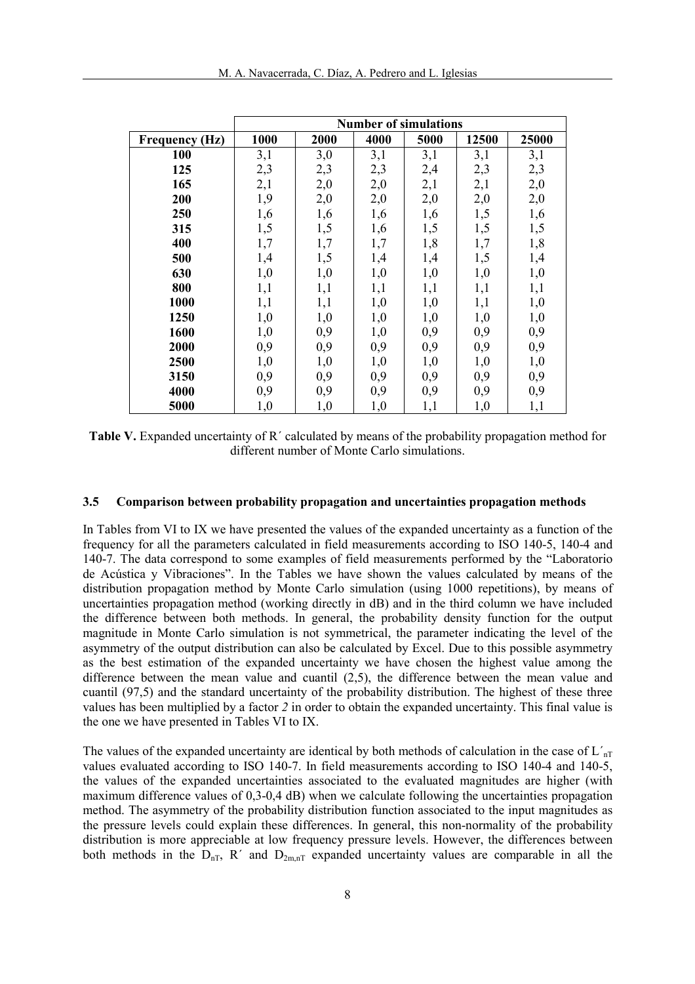|                       | <b>Number of simulations</b> |      |      |      |       |       |
|-----------------------|------------------------------|------|------|------|-------|-------|
| <b>Frequency (Hz)</b> | 1000                         | 2000 | 4000 | 5000 | 12500 | 25000 |
| 100                   | 3,1                          | 3,0  | 3,1  | 3,1  | 3,1   | 3,1   |
| 125                   | 2,3                          | 2,3  | 2,3  | 2,4  | 2,3   | 2,3   |
| 165                   | 2,1                          | 2,0  | 2,0  | 2,1  | 2,1   | 2,0   |
| 200                   | 1,9                          | 2,0  | 2,0  | 2,0  | 2,0   | 2,0   |
| 250                   | 1,6                          | 1,6  | 1,6  | 1,6  | 1,5   | 1,6   |
| 315                   | 1,5                          | 1,5  | 1,6  | 1,5  | 1,5   | 1,5   |
| 400                   | 1,7                          | 1,7  | 1,7  | 1,8  | 1,7   | 1,8   |
| 500                   | 1,4                          | 1,5  | 1,4  | 1,4  | 1,5   | 1,4   |
| 630                   | 1,0                          | 1,0  | 1,0  | 1,0  | 1,0   | 1,0   |
| 800                   | 1,1                          | 1,1  | 1,1  | 1,1  | 1,1   | 1,1   |
| 1000                  | 1,1                          | 1,1  | 1,0  | 1,0  | 1,1   | 1,0   |
| 1250                  | 1,0                          | 1,0  | 1,0  | 1,0  | 1,0   | 1,0   |
| 1600                  | 1,0                          | 0,9  | 1,0  | 0,9  | 0,9   | 0,9   |
| 2000                  | 0,9                          | 0,9  | 0,9  | 0,9  | 0,9   | 0,9   |
| 2500                  | 1,0                          | 1,0  | 1,0  | 1,0  | 1,0   | 1,0   |
| 3150                  | 0,9                          | 0,9  | 0,9  | 0,9  | 0,9   | 0,9   |
| 4000                  | 0,9                          | 0,9  | 0,9  | 0,9  | 0,9   | 0,9   |
| 5000                  | 1,0                          | 1,0  | 1,0  | 1,1  | 1,0   | 1,1   |

Table V. Expanded uncertainty of R´ calculated by means of the probability propagation method for different number of Monte Carlo simulations.

#### 3.5 Comparison between probability propagation and uncertainties propagation methods

In Tables from VI to IX we have presented the values of the expanded uncertainty as a function of the frequency for all the parameters calculated in field measurements according to ISO 140-5, 140-4 and 140-7. The data correspond to some examples of field measurements performed by the "Laboratorio de Acústica y Vibraciones". In the Tables we have shown the values calculated by means of the distribution propagation method by Monte Carlo simulation (using 1000 repetitions), by means of uncertainties propagation method (working directly in dB) and in the third column we have included the difference between both methods. In general, the probability density function for the output magnitude in Monte Carlo simulation is not symmetrical, the parameter indicating the level of the asymmetry of the output distribution can also be calculated by Excel. Due to this possible asymmetry as the best estimation of the expanded uncertainty we have chosen the highest value among the difference between the mean value and cuantil (2,5), the difference between the mean value and cuantil (97,5) and the standard uncertainty of the probability distribution. The highest of these three values has been multiplied by a factor 2 in order to obtain the expanded uncertainty. This final value is the one we have presented in Tables VI to IX.

The values of the expanded uncertainty are identical by both methods of calculation in the case of  $L'_{\text{nT}}$ values evaluated according to ISO 140-7. In field measurements according to ISO 140-4 and 140-5, the values of the expanded uncertainties associated to the evaluated magnitudes are higher (with maximum difference values of 0,3-0,4 dB) when we calculate following the uncertainties propagation method. The asymmetry of the probability distribution function associated to the input magnitudes as the pressure levels could explain these differences. In general, this non-normality of the probability distribution is more appreciable at low frequency pressure levels. However, the differences between both methods in the  $D_{nT}$ , R' and  $D_{2m,T}$  expanded uncertainty values are comparable in all the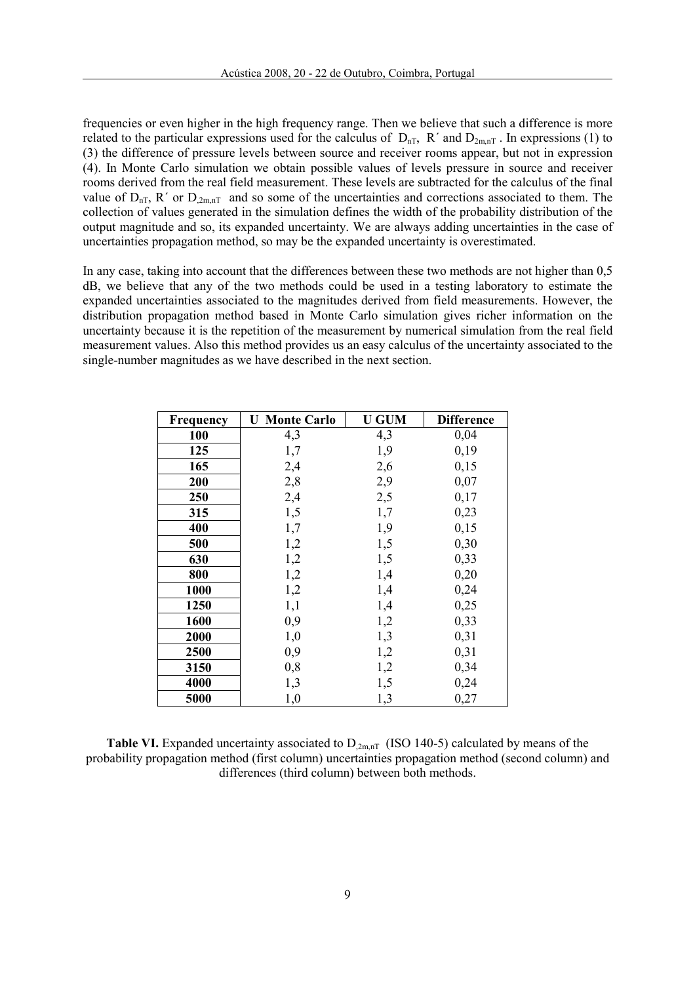frequencies or even higher in the high frequency range. Then we believe that such a difference is more related to the particular expressions used for the calculus of  $D_{nT}$ , R' and  $D_{2m,nT}$ . In expressions (1) to (3) the difference of pressure levels between source and receiver rooms appear, but not in expression (4). In Monte Carlo simulation we obtain possible values of levels pressure in source and receiver rooms derived from the real field measurement. These levels are subtracted for the calculus of the final value of  $D_{nT}$ , R' or  $D_{2m,nT}$  and so some of the uncertainties and corrections associated to them. The collection of values generated in the simulation defines the width of the probability distribution of the output magnitude and so, its expanded uncertainty. We are always adding uncertainties in the case of uncertainties propagation method, so may be the expanded uncertainty is overestimated.

In any case, taking into account that the differences between these two methods are not higher than 0,5 dB, we believe that any of the two methods could be used in a testing laboratory to estimate the expanded uncertainties associated to the magnitudes derived from field measurements. However, the distribution propagation method based in Monte Carlo simulation gives richer information on the uncertainty because it is the repetition of the measurement by numerical simulation from the real field measurement values. Also this method provides us an easy calculus of the uncertainty associated to the single-number magnitudes as we have described in the next section.

| <b>Frequency</b> | <b>Monte Carlo</b><br>U | <b>U GUM</b> | <b>Difference</b> |
|------------------|-------------------------|--------------|-------------------|
| 100              | 4,3                     | 4,3          | 0,04              |
| 125              | 1,7                     | 1,9          | 0,19              |
| 165              | 2,4                     | 2,6          | 0,15              |
| 200              | 2,8                     | 2,9          | 0,07              |
| 250              | 2,4                     | 2,5          | 0,17              |
| 315              | 1,5                     | 1,7          | 0,23              |
| 400              | 1,7                     | 1,9          | 0,15              |
| 500              | 1,2                     | 1,5          | 0,30              |
| 630              | 1,2                     | 1,5          | 0,33              |
| 800              | 1,2                     | 1,4          | 0,20              |
| 1000             | 1,2                     | 1,4          | 0,24              |
| 1250             | 1,1                     | 1,4          | 0,25              |
| 1600             | 0,9                     | 1,2          | 0,33              |
| 2000             | 1,0                     | 1,3          | 0,31              |
| 2500             | 0,9                     | 1,2          | 0,31              |
| 3150             | 0,8                     | 1,2          | 0,34              |
| 4000             | 1,3                     | 1,5          | 0,24              |
| 5000             | 1,0                     | 1,3          | 0,27              |

**Table VI.** Expanded uncertainty associated to  $D_{2m,nT}$  (ISO 140-5) calculated by means of the probability propagation method (first column) uncertainties propagation method (second column) and differences (third column) between both methods.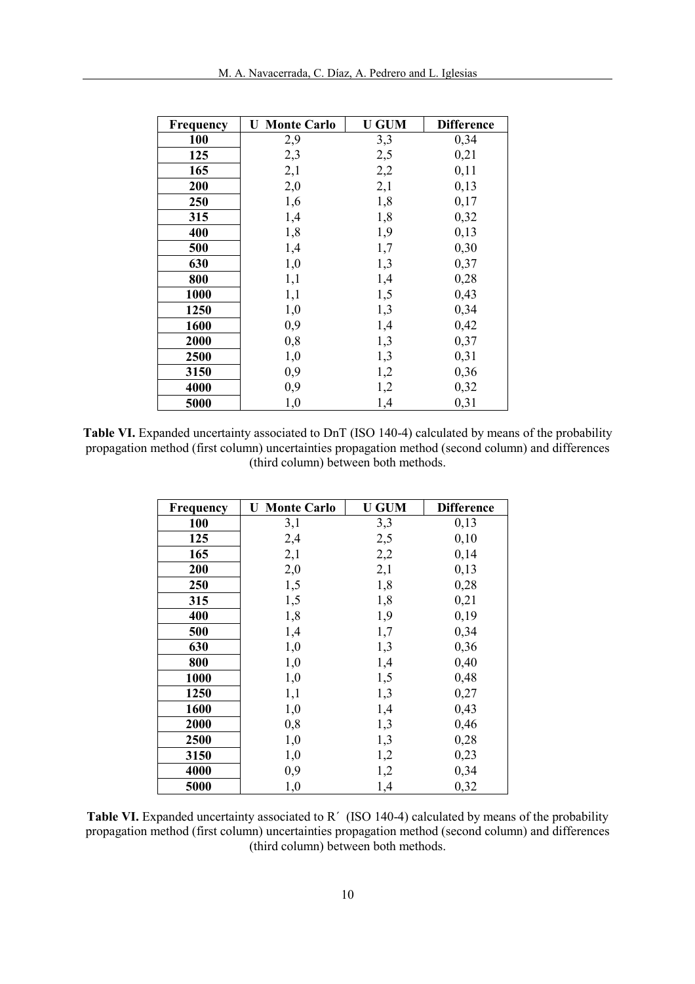| <b>Frequency</b> | <b>Monte Carlo</b><br>U | <b>U GUM</b> | <b>Difference</b> |
|------------------|-------------------------|--------------|-------------------|
| 100              | 2,9                     | 3,3          | 0,34              |
| 125              | 2,3                     | 2,5          | 0,21              |
| 165              | 2,1                     | 2,2          | 0,11              |
| 200              | 2,0                     | 2,1          | 0,13              |
| 250              | 1,6                     | 1,8          | 0,17              |
| 315              | 1,4                     | 1,8          | 0,32              |
| 400              | 1,8                     | 1,9          | 0,13              |
| 500              | 1,4                     | 1,7          | 0,30              |
| 630              | 1,0                     | 1,3          | 0,37              |
| 800              | 1,1                     | 1,4          | 0,28              |
| 1000             | 1,1                     | 1,5          | 0,43              |
| 1250             | 1,0                     | 1,3          | 0,34              |
| 1600             | 0,9                     | 1,4          | 0,42              |
| 2000             | 0,8                     | 1,3          | 0,37              |
| 2500             | 1,0                     | 1,3          | 0,31              |
| 3150             | 0,9                     | 1,2          | 0,36              |
| 4000             | 0,9                     | 1,2          | 0,32              |
| 5000             | 1,0                     | 1,4          | 0,31              |

Table VI. Expanded uncertainty associated to DnT (ISO 140-4) calculated by means of the probability propagation method (first column) uncertainties propagation method (second column) and differences (third column) between both methods.

| Frequency | <b>U</b> Monte Carlo | <b>U GUM</b> | <b>Difference</b> |
|-----------|----------------------|--------------|-------------------|
| 100       | 3,1                  | 3,3          | 0,13              |
| 125       | 2,4                  | 2,5          | 0,10              |
| 165       | 2,1                  | 2,2          | 0,14              |
| 200       | 2,0                  | 2,1          | 0,13              |
| 250       | 1,5                  | 1,8          | 0,28              |
| 315       | 1,5                  | 1,8          | 0,21              |
| 400       | 1,8                  | 1,9          | 0,19              |
| 500       | 1,4                  | 1,7          | 0,34              |
| 630       | 1,0                  | 1,3          | 0,36              |
| 800       | 1,0                  | 1,4          | 0,40              |
| 1000      | 1,0                  | 1,5          | 0,48              |
| 1250      | 1,1                  | 1,3          | 0,27              |
| 1600      | 1,0                  | 1,4          | 0,43              |
| 2000      | 0,8                  | 1,3          | 0,46              |
| 2500      | 1,0                  | 1,3          | 0,28              |
| 3150      | 1,0                  | 1,2          | 0,23              |
| 4000      | 0,9                  | 1,2          | 0,34              |
| 5000      | 1,0                  | 1,4          | 0,32              |

Table VI. Expanded uncertainty associated to R<sup>'</sup> (ISO 140-4) calculated by means of the probability propagation method (first column) uncertainties propagation method (second column) and differences (third column) between both methods.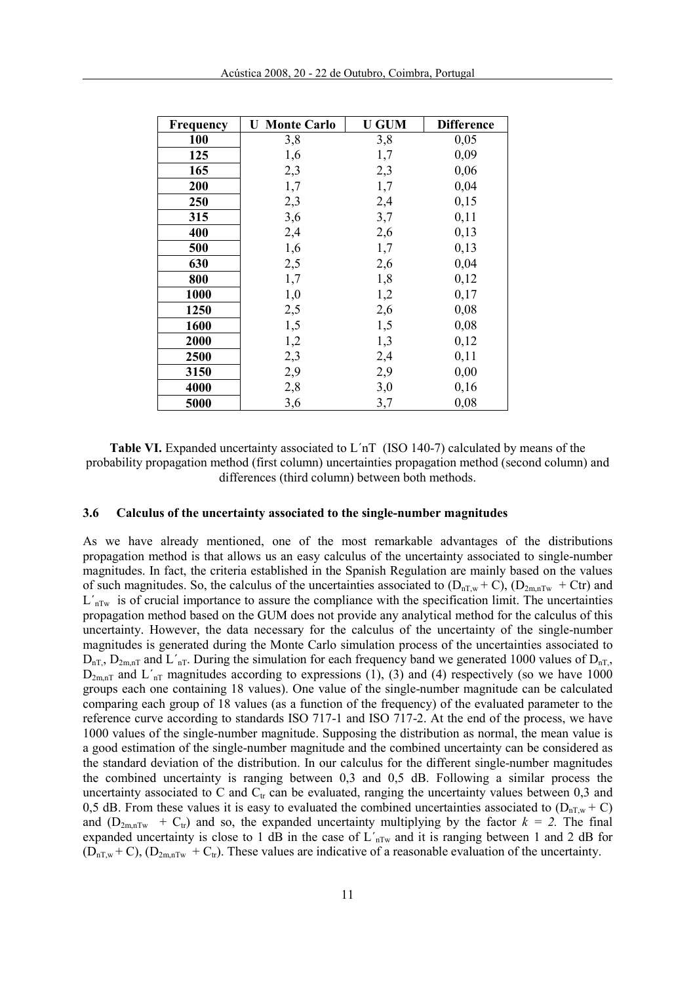| Frequency | <b>Monte Carlo</b><br>U | <b>U GUM</b> | <b>Difference</b> |
|-----------|-------------------------|--------------|-------------------|
| 100       | 3,8                     | 3,8          | 0,05              |
| 125       | 1,6                     | 1,7          | 0,09              |
| 165       | 2,3                     | 2,3          | 0,06              |
| 200       | 1,7                     | 1,7          | 0,04              |
| 250       | 2,3                     | 2,4          | 0,15              |
| 315       | 3,6                     | 3,7          | 0,11              |
| 400       | 2,4                     | 2,6          | 0,13              |
| 500       | 1,6                     | 1,7          | 0,13              |
| 630       | 2,5                     | 2,6          | 0,04              |
| 800       | 1,7                     | 1,8          | 0,12              |
| 1000      | 1,0                     | 1,2          | 0,17              |
| 1250      | 2,5                     | 2,6          | 0,08              |
| 1600      | 1,5                     | 1,5          | 0,08              |
| 2000      | 1,2                     | 1,3          | 0,12              |
| 2500      | 2,3                     | 2,4          | 0,11              |
| 3150      | 2,9                     | 2,9          | 0,00              |
| 4000      | 2,8                     | 3,0          | 0,16              |
| 5000      | 3,6                     | 3,7          | 0,08              |

Table VI. Expanded uncertainty associated to L´nT (ISO 140-7) calculated by means of the probability propagation method (first column) uncertainties propagation method (second column) and differences (third column) between both methods.

#### 3.6 Calculus of the uncertainty associated to the single-number magnitudes

As we have already mentioned, one of the most remarkable advantages of the distributions propagation method is that allows us an easy calculus of the uncertainty associated to single-number magnitudes. In fact, the criteria established in the Spanish Regulation are mainly based on the values of such magnitudes. So, the calculus of the uncertainties associated to  $(D_{nTw} + C)$ ,  $(D_{2m,nTw} + Ctr)$  and  $L'_{nTw}$  is of crucial importance to assure the compliance with the specification limit. The uncertainties propagation method based on the GUM does not provide any analytical method for the calculus of this uncertainty. However, the data necessary for the calculus of the uncertainty of the single-number magnitudes is generated during the Monte Carlo simulation process of the uncertainties associated to  $D_{nT}$ ,  $D_{2m,nT}$  and L'<sub>nT</sub>. During the simulation for each frequency band we generated 1000 values of  $D_{nT}$ ,  $D_{2m,nT}$  and  $L'_{nT}$  magnitudes according to expressions (1), (3) and (4) respectively (so we have 1000 groups each one containing 18 values). One value of the single-number magnitude can be calculated comparing each group of 18 values (as a function of the frequency) of the evaluated parameter to the reference curve according to standards ISO 717-1 and ISO 717-2. At the end of the process, we have 1000 values of the single-number magnitude. Supposing the distribution as normal, the mean value is a good estimation of the single-number magnitude and the combined uncertainty can be considered as the standard deviation of the distribution. In our calculus for the different single-number magnitudes the combined uncertainty is ranging between 0,3 and 0,5 dB. Following a similar process the uncertainty associated to C and  $C<sub>tr</sub>$  can be evaluated, ranging the uncertainty values between 0,3 and 0,5 dB. From these values it is easy to evaluated the combined uncertainties associated to  $(D_{nT,w} + C)$ and  $(D_{2m,nTw} + C_{tr})$  and so, the expanded uncertainty multiplying by the factor  $k = 2$ . The final expanded uncertainty is close to 1 dB in the case of  $L'_{nTw}$  and it is ranging between 1 and 2 dB for  $(D_{nT,w} + C)$ ,  $(D_{2m,nTw} + C_{tr})$ . These values are indicative of a reasonable evaluation of the uncertainty.